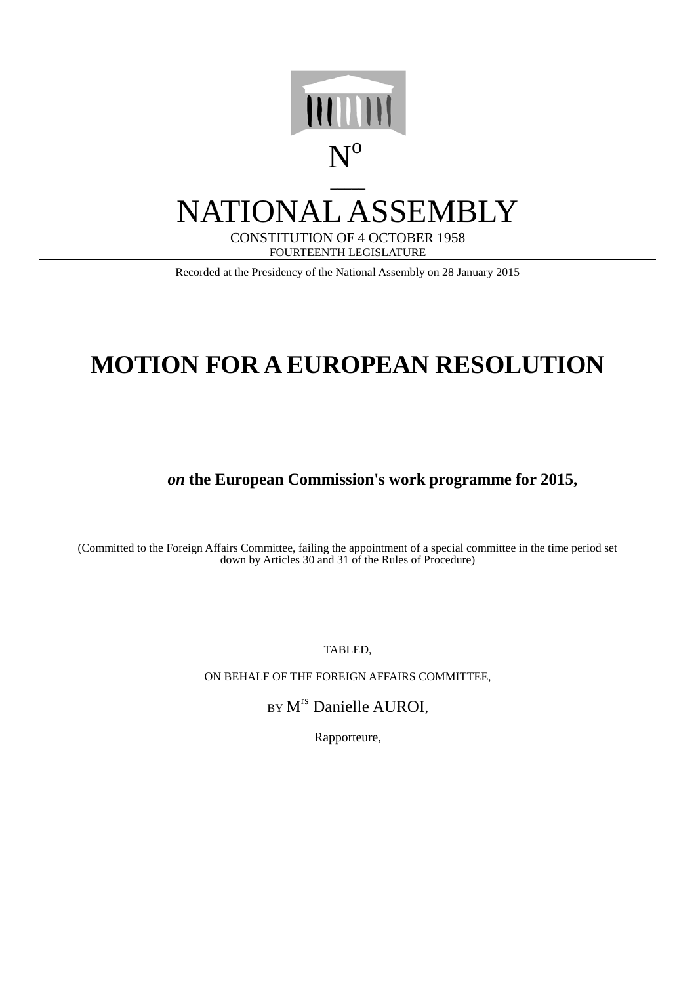

## NATIONAL ASSEMBLY

CONSTITUTION OF 4 OCTOBER 1958 FOURTEENTH LEGISLATURE

Recorded at the Presidency of the National Assembly on 28 January 2015

## **MOTION FOR A EUROPEAN RESOLUTION**

*on* **the European Commission's work programme for 2015,**

(Committed to the Foreign Affairs Committee, failing the appointment of a special committee in the time period set down by Articles 30 and 31 of the Rules of Procedure)

TABLED,

ON BEHALF OF THE FOREIGN AFFAIRS COMMITTEE,

BY M<sup>rs</sup> Danielle AUROI,

Rapporteure,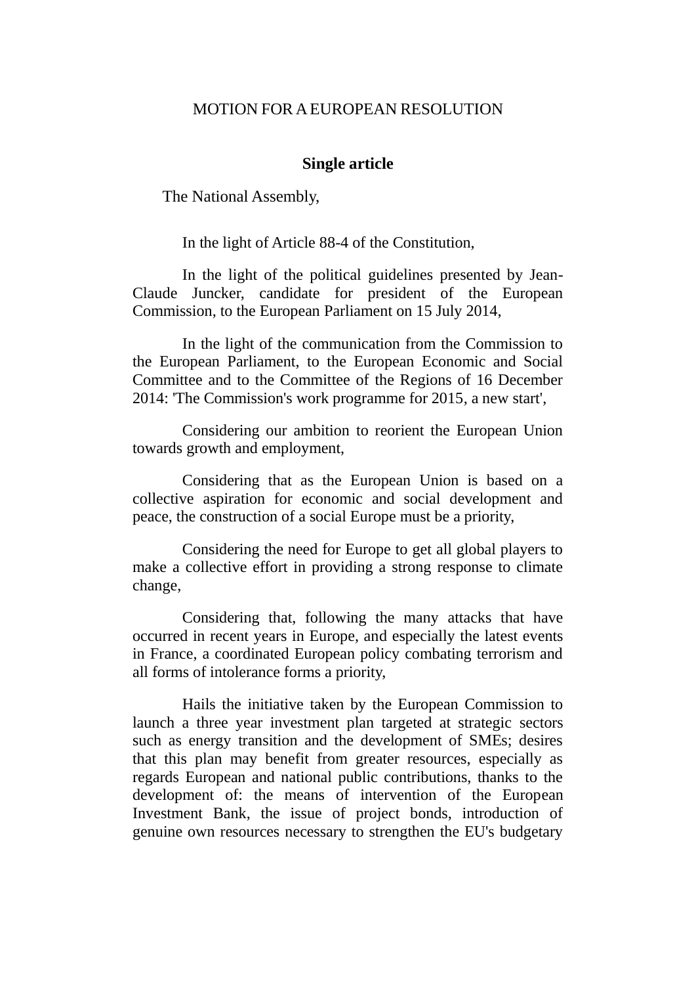## MOTION FOR AEUROPEAN RESOLUTION

## **Single article**

The National Assembly,

In the light of Article 88-4 of the Constitution,

In the light of the political guidelines presented by Jean-Claude Juncker, candidate for president of the European Commission, to the European Parliament on 15 July 2014,

In the light of the communication from the Commission to the European Parliament, to the European Economic and Social Committee and to the Committee of the Regions of 16 December 2014: 'The Commission's work programme for 2015, a new start',

Considering our ambition to reorient the European Union towards growth and employment,

Considering that as the European Union is based on a collective aspiration for economic and social development and peace, the construction of a social Europe must be a priority,

Considering the need for Europe to get all global players to make a collective effort in providing a strong response to climate change,

Considering that, following the many attacks that have occurred in recent years in Europe, and especially the latest events in France, a coordinated European policy combating terrorism and all forms of intolerance forms a priority,

Hails the initiative taken by the European Commission to launch a three year investment plan targeted at strategic sectors such as energy transition and the development of SMEs; desires that this plan may benefit from greater resources, especially as regards European and national public contributions, thanks to the development of: the means of intervention of the European Investment Bank, the issue of project bonds, introduction of genuine own resources necessary to strengthen the EU's budgetary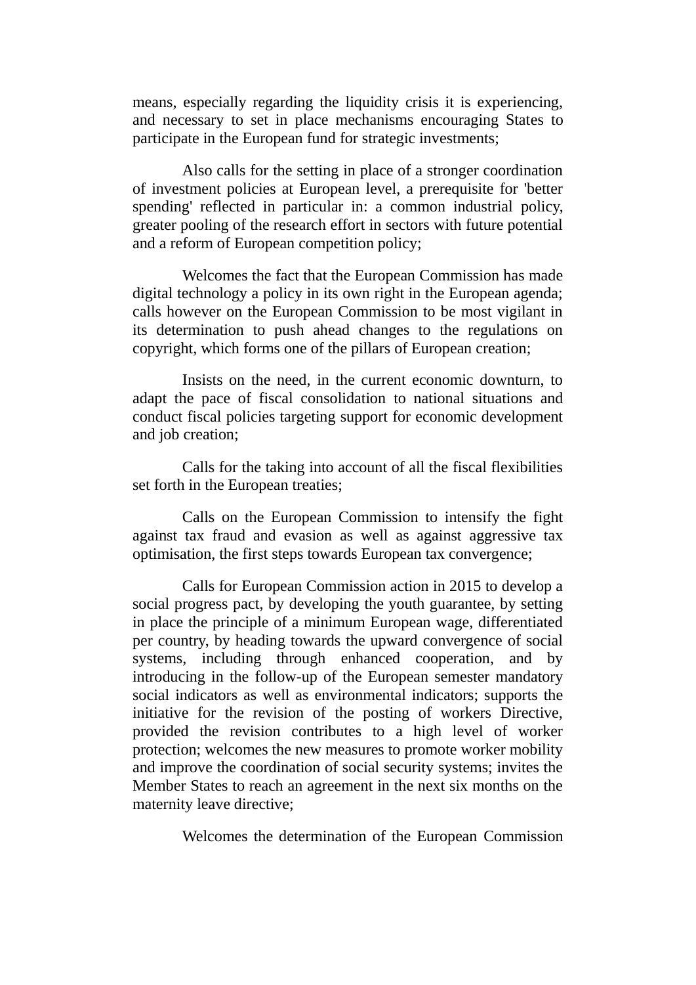means, especially regarding the liquidity crisis it is experiencing, and necessary to set in place mechanisms encouraging States to participate in the European fund for strategic investments;

Also calls for the setting in place of a stronger coordination of investment policies at European level, a prerequisite for 'better spending' reflected in particular in: a common industrial policy, greater pooling of the research effort in sectors with future potential and a reform of European competition policy;

Welcomes the fact that the European Commission has made digital technology a policy in its own right in the European agenda; calls however on the European Commission to be most vigilant in its determination to push ahead changes to the regulations on copyright, which forms one of the pillars of European creation;

Insists on the need, in the current economic downturn, to adapt the pace of fiscal consolidation to national situations and conduct fiscal policies targeting support for economic development and job creation;

Calls for the taking into account of all the fiscal flexibilities set forth in the European treaties;

Calls on the European Commission to intensify the fight against tax fraud and evasion as well as against aggressive tax optimisation, the first steps towards European tax convergence;

Calls for European Commission action in 2015 to develop a social progress pact, by developing the youth guarantee, by setting in place the principle of a minimum European wage, differentiated per country, by heading towards the upward convergence of social systems, including through enhanced cooperation, and by introducing in the follow-up of the European semester mandatory social indicators as well as environmental indicators; supports the initiative for the revision of the posting of workers Directive, provided the revision contributes to a high level of worker protection; welcomes the new measures to promote worker mobility and improve the coordination of social security systems; invites the Member States to reach an agreement in the next six months on the maternity leave directive;

Welcomes the determination of the European Commission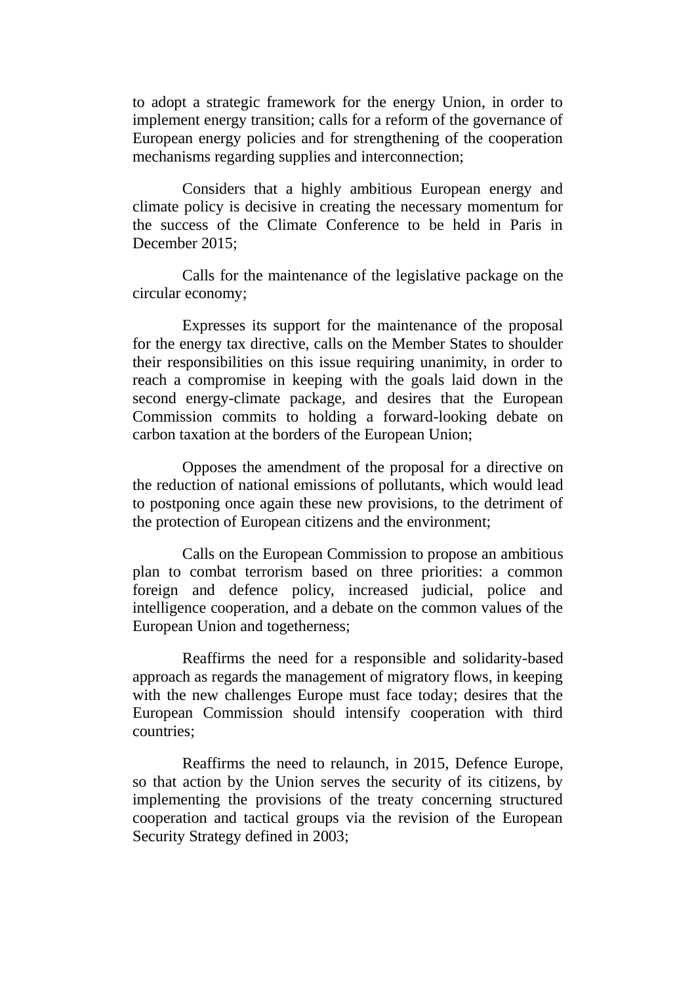to adopt a strategic framework for the energy Union, in order to implement energy transition; calls for a reform of the governance of European energy policies and for strengthening of the cooperation mechanisms regarding supplies and interconnection;

Considers that a highly ambitious European energy and climate policy is decisive in creating the necessary momentum for the success of the Climate Conference to be held in Paris in December 2015;

Calls for the maintenance of the legislative package on the circular economy;

Expresses its support for the maintenance of the proposal for the energy tax directive, calls on the Member States to shoulder their responsibilities on this issue requiring unanimity, in order to reach a compromise in keeping with the goals laid down in the second energy-climate package, and desires that the European Commission commits to holding a forward-looking debate on carbon taxation at the borders of the European Union;

Opposes the amendment of the proposal for a directive on the reduction of national emissions of pollutants, which would lead to postponing once again these new provisions, to the detriment of the protection of European citizens and the environment;

Calls on the European Commission to propose an ambitious plan to combat terrorism based on three priorities: a common foreign and defence policy, increased judicial, police and intelligence cooperation, and a debate on the common values of the European Union and togetherness;

Reaffirms the need for a responsible and solidarity-based approach as regards the management of migratory flows, in keeping with the new challenges Europe must face today; desires that the European Commission should intensify cooperation with third countries;

Reaffirms the need to relaunch, in 2015, Defence Europe, so that action by the Union serves the security of its citizens, by implementing the provisions of the treaty concerning structured cooperation and tactical groups via the revision of the European Security Strategy defined in 2003;